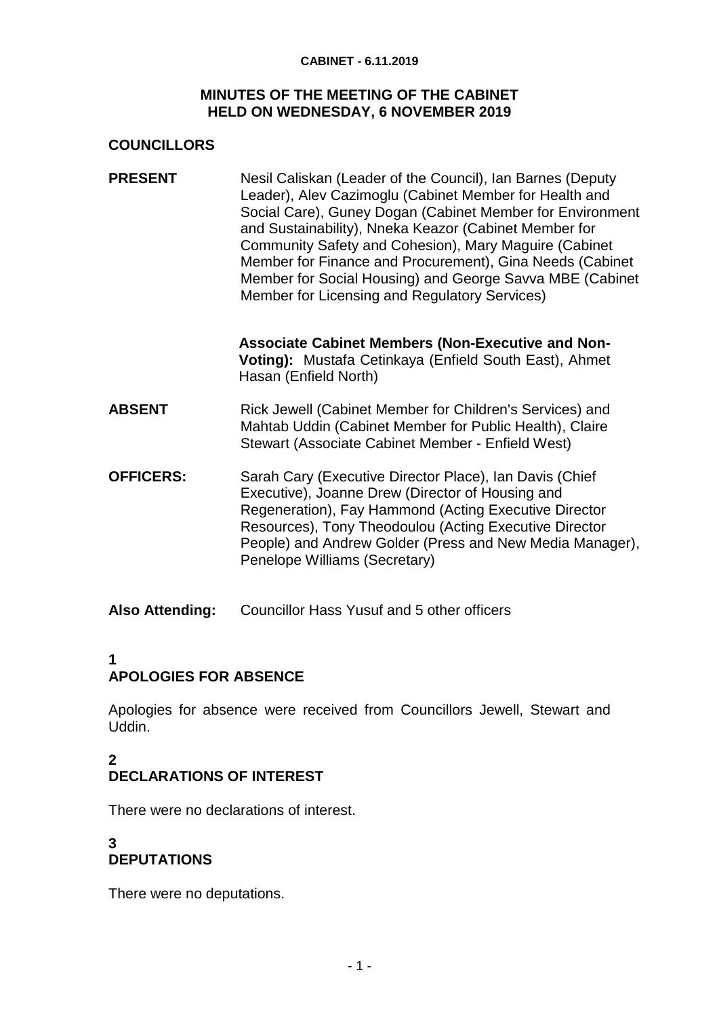#### **CABINET - 6.11.2019**

#### **MINUTES OF THE MEETING OF THE CABINET HELD ON WEDNESDAY, 6 NOVEMBER 2019**

#### **COUNCILLORS**

**PRESENT** Nesil Caliskan (Leader of the Council), Ian Barnes (Deputy Leader), Alev Cazimoglu (Cabinet Member for Health and Social Care), Guney Dogan (Cabinet Member for Environment and Sustainability), Nneka Keazor (Cabinet Member for Community Safety and Cohesion), Mary Maguire (Cabinet Member for Finance and Procurement), Gina Needs (Cabinet Member for Social Housing) and George Savva MBE (Cabinet Member for Licensing and Regulatory Services)

> **Associate Cabinet Members (Non-Executive and Non-Voting):** Mustafa Cetinkaya (Enfield South East), Ahmet Hasan (Enfield North)

- **ABSENT** Rick Jewell (Cabinet Member for Children's Services) and Mahtab Uddin (Cabinet Member for Public Health), Claire Stewart (Associate Cabinet Member - Enfield West)
- **OFFICERS:** Sarah Cary (Executive Director Place), Ian Davis (Chief Executive), Joanne Drew (Director of Housing and Regeneration), Fay Hammond (Acting Executive Director Resources), Tony Theodoulou (Acting Executive Director People) and Andrew Golder (Press and New Media Manager), Penelope Williams (Secretary)

**Also Attending:** Councillor Hass Yusuf and 5 other officers

### **1**

# **APOLOGIES FOR ABSENCE**

Apologies for absence were received from Councillors Jewell, Stewart and Uddin.

#### **2 DECLARATIONS OF INTEREST**

There were no declarations of interest.

#### **3 DEPUTATIONS**

There were no deputations.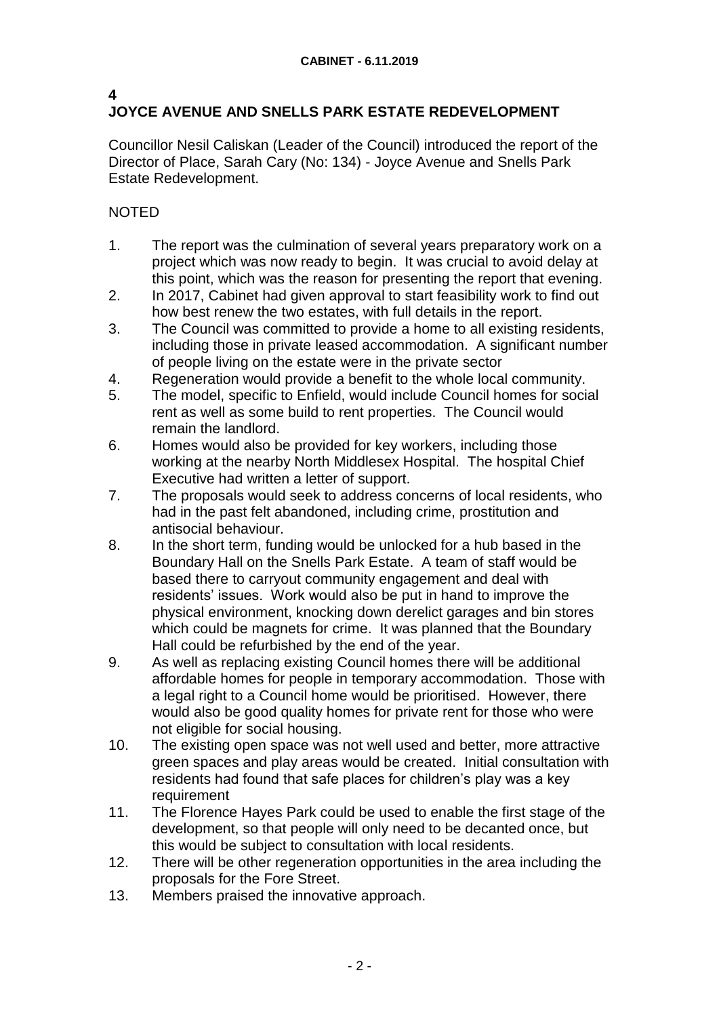#### **4 JOYCE AVENUE AND SNELLS PARK ESTATE REDEVELOPMENT**

Councillor Nesil Caliskan (Leader of the Council) introduced the report of the Director of Place, Sarah Cary (No: 134) - Joyce Avenue and Snells Park Estate Redevelopment.

## NOTED

- 1. The report was the culmination of several years preparatory work on a project which was now ready to begin. It was crucial to avoid delay at this point, which was the reason for presenting the report that evening.
- 2. In 2017, Cabinet had given approval to start feasibility work to find out how best renew the two estates, with full details in the report.
- 3. The Council was committed to provide a home to all existing residents, including those in private leased accommodation. A significant number of people living on the estate were in the private sector
- 4. Regeneration would provide a benefit to the whole local community.
- 5. The model, specific to Enfield, would include Council homes for social rent as well as some build to rent properties. The Council would remain the landlord.
- 6. Homes would also be provided for key workers, including those working at the nearby North Middlesex Hospital. The hospital Chief Executive had written a letter of support.
- 7. The proposals would seek to address concerns of local residents, who had in the past felt abandoned, including crime, prostitution and antisocial behaviour.
- 8. In the short term, funding would be unlocked for a hub based in the Boundary Hall on the Snells Park Estate. A team of staff would be based there to carryout community engagement and deal with residents' issues. Work would also be put in hand to improve the physical environment, knocking down derelict garages and bin stores which could be magnets for crime. It was planned that the Boundary Hall could be refurbished by the end of the year.
- 9. As well as replacing existing Council homes there will be additional affordable homes for people in temporary accommodation. Those with a legal right to a Council home would be prioritised. However, there would also be good quality homes for private rent for those who were not eligible for social housing.
- 10. The existing open space was not well used and better, more attractive green spaces and play areas would be created. Initial consultation with residents had found that safe places for children's play was a key requirement
- 11. The Florence Hayes Park could be used to enable the first stage of the development, so that people will only need to be decanted once, but this would be subject to consultation with local residents.
- 12. There will be other regeneration opportunities in the area including the proposals for the Fore Street.
- 13. Members praised the innovative approach.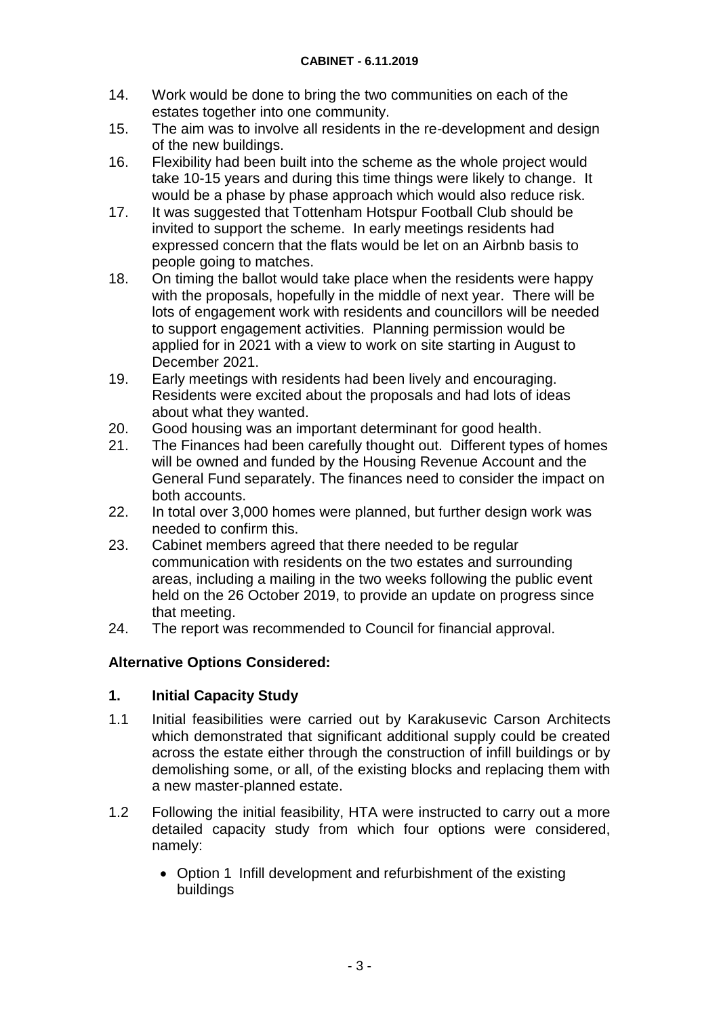- 14. Work would be done to bring the two communities on each of the estates together into one community.
- 15. The aim was to involve all residents in the re-development and design of the new buildings.
- 16. Flexibility had been built into the scheme as the whole project would take 10-15 years and during this time things were likely to change. It would be a phase by phase approach which would also reduce risk.
- 17. It was suggested that Tottenham Hotspur Football Club should be invited to support the scheme. In early meetings residents had expressed concern that the flats would be let on an Airbnb basis to people going to matches.
- 18. On timing the ballot would take place when the residents were happy with the proposals, hopefully in the middle of next year. There will be lots of engagement work with residents and councillors will be needed to support engagement activities. Planning permission would be applied for in 2021 with a view to work on site starting in August to December 2021.
- 19. Early meetings with residents had been lively and encouraging. Residents were excited about the proposals and had lots of ideas about what they wanted.
- 20. Good housing was an important determinant for good health.
- 21. The Finances had been carefully thought out. Different types of homes will be owned and funded by the Housing Revenue Account and the General Fund separately. The finances need to consider the impact on both accounts.
- 22. In total over 3,000 homes were planned, but further design work was needed to confirm this.
- 23. Cabinet members agreed that there needed to be regular communication with residents on the two estates and surrounding areas, including a mailing in the two weeks following the public event held on the 26 October 2019, to provide an update on progress since that meeting.
- 24. The report was recommended to Council for financial approval.

### **Alternative Options Considered:**

### **1. Initial Capacity Study**

- 1.1 Initial feasibilities were carried out by Karakusevic Carson Architects which demonstrated that significant additional supply could be created across the estate either through the construction of infill buildings or by demolishing some, or all, of the existing blocks and replacing them with a new master-planned estate.
- 1.2 Following the initial feasibility, HTA were instructed to carry out a more detailed capacity study from which four options were considered, namely:
	- Option 1 Infill development and refurbishment of the existing buildings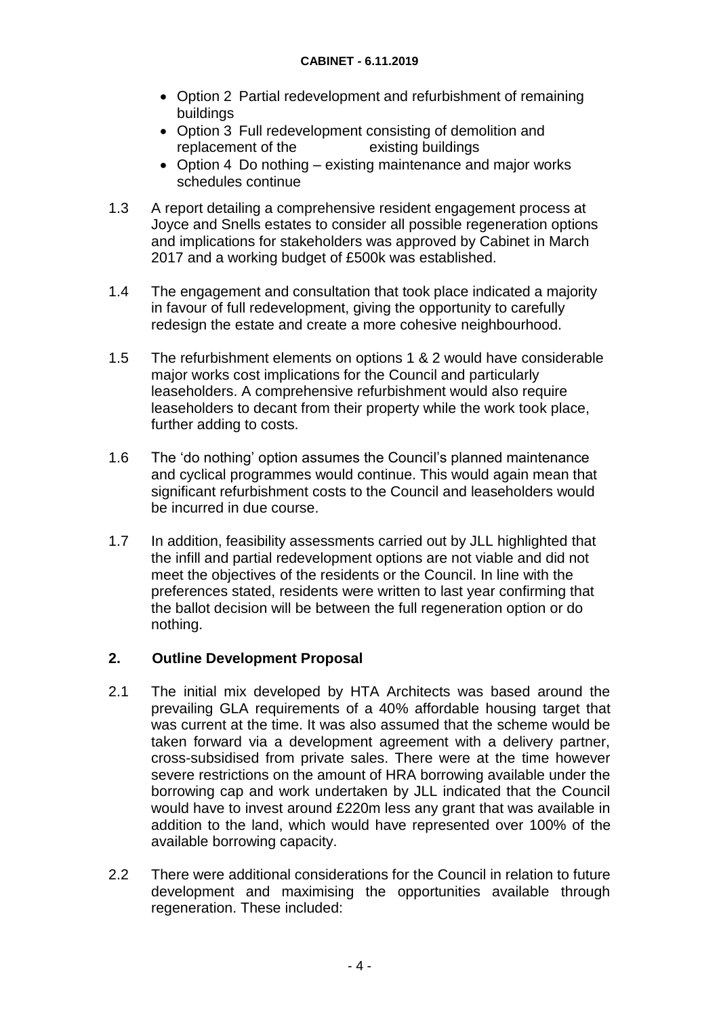- Option 2 Partial redevelopment and refurbishment of remaining buildings
- Option 3 Full redevelopment consisting of demolition and replacement of the existing buildings
- Option 4 Do nothing existing maintenance and major works schedules continue
- 1.3 A report detailing a comprehensive resident engagement process at Joyce and Snells estates to consider all possible regeneration options and implications for stakeholders was approved by Cabinet in March 2017 and a working budget of £500k was established.
- 1.4 The engagement and consultation that took place indicated a majority in favour of full redevelopment, giving the opportunity to carefully redesign the estate and create a more cohesive neighbourhood.
- 1.5 The refurbishment elements on options 1 & 2 would have considerable major works cost implications for the Council and particularly leaseholders. A comprehensive refurbishment would also require leaseholders to decant from their property while the work took place, further adding to costs.
- 1.6 The 'do nothing' option assumes the Council's planned maintenance and cyclical programmes would continue. This would again mean that significant refurbishment costs to the Council and leaseholders would be incurred in due course.
- 1.7 In addition, feasibility assessments carried out by JLL highlighted that the infill and partial redevelopment options are not viable and did not meet the objectives of the residents or the Council. In line with the preferences stated, residents were written to last year confirming that the ballot decision will be between the full regeneration option or do nothing.

### **2. Outline Development Proposal**

- 2.1 The initial mix developed by HTA Architects was based around the prevailing GLA requirements of a 40% affordable housing target that was current at the time. It was also assumed that the scheme would be taken forward via a development agreement with a delivery partner, cross-subsidised from private sales. There were at the time however severe restrictions on the amount of HRA borrowing available under the borrowing cap and work undertaken by JLL indicated that the Council would have to invest around £220m less any grant that was available in addition to the land, which would have represented over 100% of the available borrowing capacity.
- 2.2 There were additional considerations for the Council in relation to future development and maximising the opportunities available through regeneration. These included: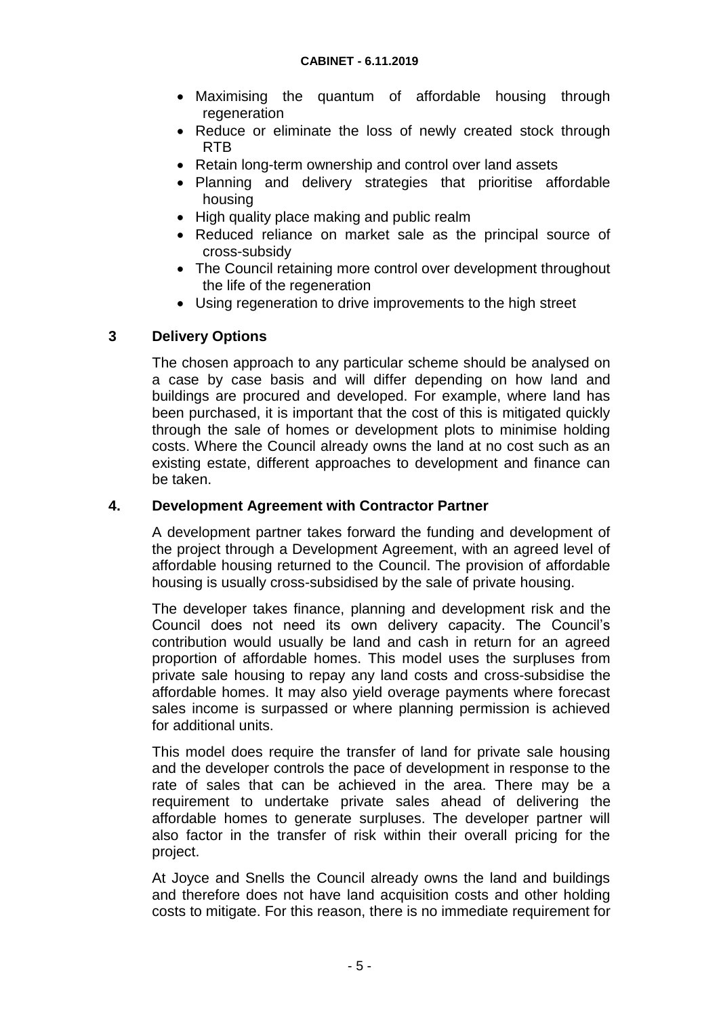- Maximising the quantum of affordable housing through regeneration
- Reduce or eliminate the loss of newly created stock through RTB
- Retain long-term ownership and control over land assets
- Planning and delivery strategies that prioritise affordable housing
- High quality place making and public realm
- Reduced reliance on market sale as the principal source of cross-subsidy
- The Council retaining more control over development throughout the life of the regeneration
- Using regeneration to drive improvements to the high street

### **3 Delivery Options**

The chosen approach to any particular scheme should be analysed on a case by case basis and will differ depending on how land and buildings are procured and developed. For example, where land has been purchased, it is important that the cost of this is mitigated quickly through the sale of homes or development plots to minimise holding costs. Where the Council already owns the land at no cost such as an existing estate, different approaches to development and finance can be taken.

### **4. Development Agreement with Contractor Partner**

A development partner takes forward the funding and development of the project through a Development Agreement, with an agreed level of affordable housing returned to the Council. The provision of affordable housing is usually cross-subsidised by the sale of private housing.

The developer takes finance, planning and development risk and the Council does not need its own delivery capacity. The Council's contribution would usually be land and cash in return for an agreed proportion of affordable homes. This model uses the surpluses from private sale housing to repay any land costs and cross-subsidise the affordable homes. It may also yield overage payments where forecast sales income is surpassed or where planning permission is achieved for additional units.

This model does require the transfer of land for private sale housing and the developer controls the pace of development in response to the rate of sales that can be achieved in the area. There may be a requirement to undertake private sales ahead of delivering the affordable homes to generate surpluses. The developer partner will also factor in the transfer of risk within their overall pricing for the project.

At Joyce and Snells the Council already owns the land and buildings and therefore does not have land acquisition costs and other holding costs to mitigate. For this reason, there is no immediate requirement for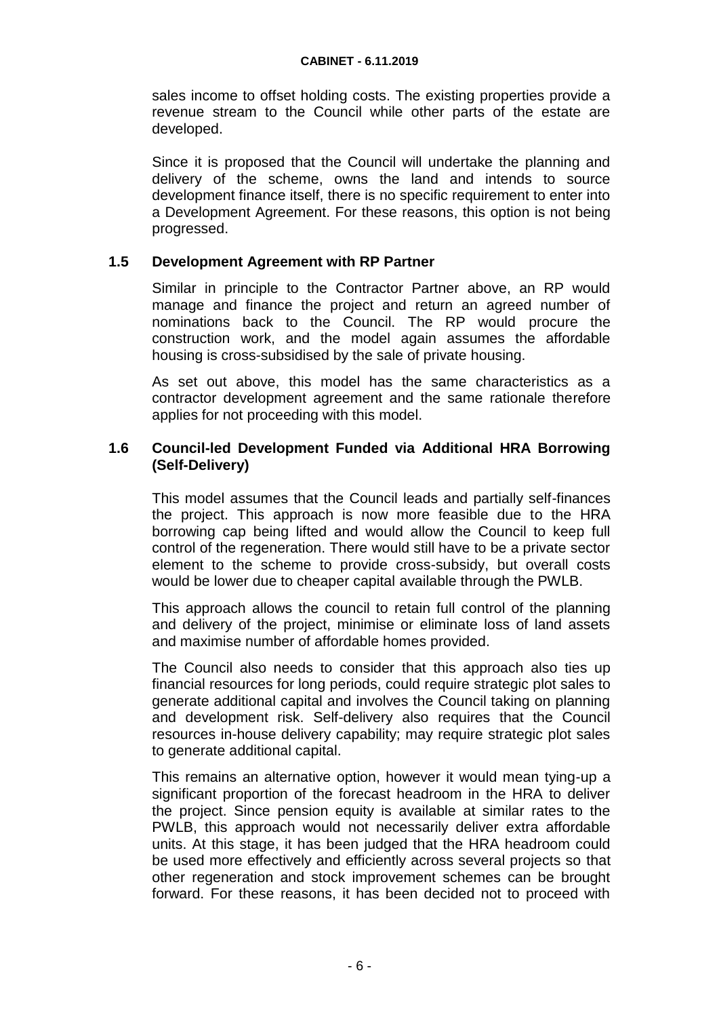sales income to offset holding costs. The existing properties provide a revenue stream to the Council while other parts of the estate are developed.

Since it is proposed that the Council will undertake the planning and delivery of the scheme, owns the land and intends to source development finance itself, there is no specific requirement to enter into a Development Agreement. For these reasons, this option is not being progressed.

#### **1.5 Development Agreement with RP Partner**

Similar in principle to the Contractor Partner above, an RP would manage and finance the project and return an agreed number of nominations back to the Council. The RP would procure the construction work, and the model again assumes the affordable housing is cross-subsidised by the sale of private housing.

As set out above, this model has the same characteristics as a contractor development agreement and the same rationale therefore applies for not proceeding with this model.

#### **1.6 Council-led Development Funded via Additional HRA Borrowing (Self-Delivery)**

This model assumes that the Council leads and partially self-finances the project. This approach is now more feasible due to the HRA borrowing cap being lifted and would allow the Council to keep full control of the regeneration. There would still have to be a private sector element to the scheme to provide cross-subsidy, but overall costs would be lower due to cheaper capital available through the PWLB.

This approach allows the council to retain full control of the planning and delivery of the project, minimise or eliminate loss of land assets and maximise number of affordable homes provided.

The Council also needs to consider that this approach also ties up financial resources for long periods, could require strategic plot sales to generate additional capital and involves the Council taking on planning and development risk. Self-delivery also requires that the Council resources in-house delivery capability; may require strategic plot sales to generate additional capital.

This remains an alternative option, however it would mean tying-up a significant proportion of the forecast headroom in the HRA to deliver the project. Since pension equity is available at similar rates to the PWLB, this approach would not necessarily deliver extra affordable units. At this stage, it has been judged that the HRA headroom could be used more effectively and efficiently across several projects so that other regeneration and stock improvement schemes can be brought forward. For these reasons, it has been decided not to proceed with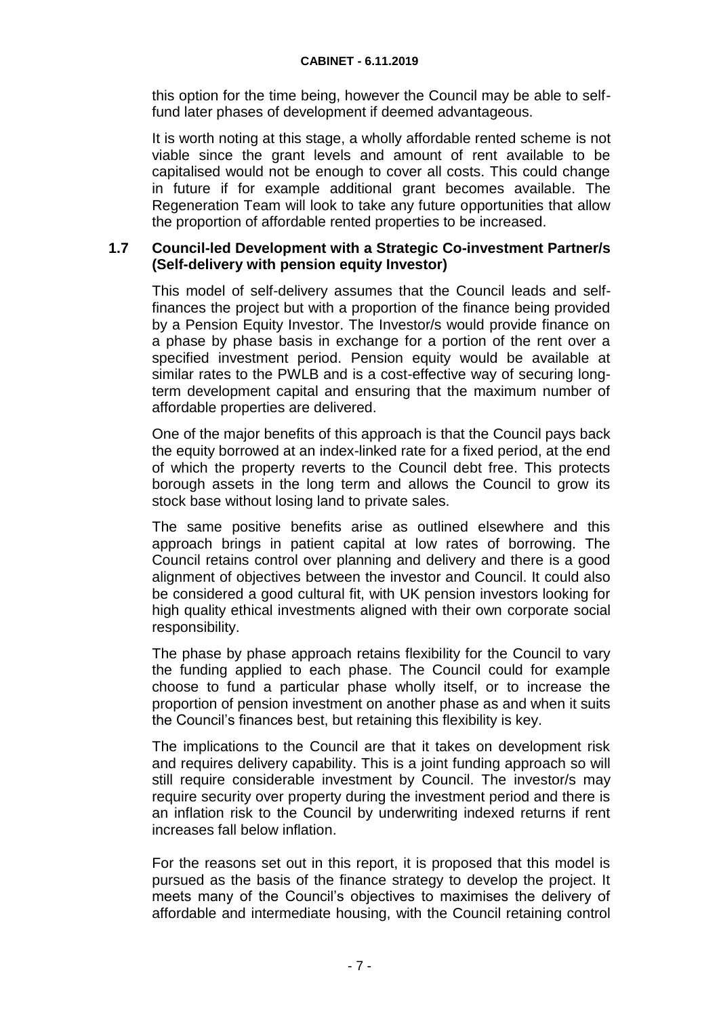this option for the time being, however the Council may be able to selffund later phases of development if deemed advantageous.

It is worth noting at this stage, a wholly affordable rented scheme is not viable since the grant levels and amount of rent available to be capitalised would not be enough to cover all costs. This could change in future if for example additional grant becomes available. The Regeneration Team will look to take any future opportunities that allow the proportion of affordable rented properties to be increased.

#### **1.7 Council-led Development with a Strategic Co-investment Partner/s (Self-delivery with pension equity Investor)**

This model of self-delivery assumes that the Council leads and selffinances the project but with a proportion of the finance being provided by a Pension Equity Investor. The Investor/s would provide finance on a phase by phase basis in exchange for a portion of the rent over a specified investment period. Pension equity would be available at similar rates to the PWLB and is a cost-effective way of securing longterm development capital and ensuring that the maximum number of affordable properties are delivered.

One of the major benefits of this approach is that the Council pays back the equity borrowed at an index-linked rate for a fixed period, at the end of which the property reverts to the Council debt free. This protects borough assets in the long term and allows the Council to grow its stock base without losing land to private sales.

The same positive benefits arise as outlined elsewhere and this approach brings in patient capital at low rates of borrowing. The Council retains control over planning and delivery and there is a good alignment of objectives between the investor and Council. It could also be considered a good cultural fit, with UK pension investors looking for high quality ethical investments aligned with their own corporate social responsibility.

The phase by phase approach retains flexibility for the Council to vary the funding applied to each phase. The Council could for example choose to fund a particular phase wholly itself, or to increase the proportion of pension investment on another phase as and when it suits the Council's finances best, but retaining this flexibility is key.

The implications to the Council are that it takes on development risk and requires delivery capability. This is a joint funding approach so will still require considerable investment by Council. The investor/s may require security over property during the investment period and there is an inflation risk to the Council by underwriting indexed returns if rent increases fall below inflation.

For the reasons set out in this report, it is proposed that this model is pursued as the basis of the finance strategy to develop the project. It meets many of the Council's objectives to maximises the delivery of affordable and intermediate housing, with the Council retaining control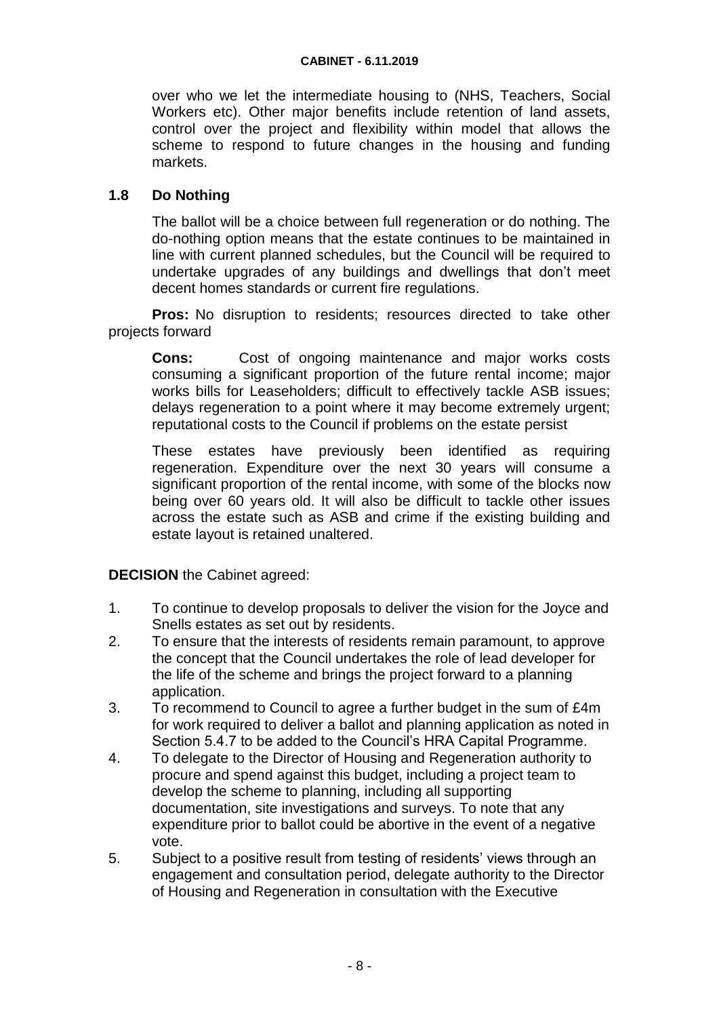over who we let the intermediate housing to (NHS, Teachers, Social Workers etc). Other major benefits include retention of land assets, control over the project and flexibility within model that allows the scheme to respond to future changes in the housing and funding markets.

#### **1.8 Do Nothing**

The ballot will be a choice between full regeneration or do nothing. The do-nothing option means that the estate continues to be maintained in line with current planned schedules, but the Council will be required to undertake upgrades of any buildings and dwellings that don't meet decent homes standards or current fire regulations.

**Pros:** No disruption to residents; resources directed to take other projects forward

**Cons:** Cost of ongoing maintenance and major works costs consuming a significant proportion of the future rental income; major works bills for Leaseholders; difficult to effectively tackle ASB issues; delays regeneration to a point where it may become extremely urgent; reputational costs to the Council if problems on the estate persist

These estates have previously been identified as requiring regeneration. Expenditure over the next 30 years will consume a significant proportion of the rental income, with some of the blocks now being over 60 years old. It will also be difficult to tackle other issues across the estate such as ASB and crime if the existing building and estate layout is retained unaltered.

#### **DECISION** the Cabinet agreed:

- 1. To continue to develop proposals to deliver the vision for the Joyce and Snells estates as set out by residents.
- 2. To ensure that the interests of residents remain paramount, to approve the concept that the Council undertakes the role of lead developer for the life of the scheme and brings the project forward to a planning application.
- 3. To recommend to Council to agree a further budget in the sum of £4m for work required to deliver a ballot and planning application as noted in Section 5.4.7 to be added to the Council's HRA Capital Programme.
- 4. To delegate to the Director of Housing and Regeneration authority to procure and spend against this budget, including a project team to develop the scheme to planning, including all supporting documentation, site investigations and surveys. To note that any expenditure prior to ballot could be abortive in the event of a negative vote.
- 5. Subject to a positive result from testing of residents' views through an engagement and consultation period, delegate authority to the Director of Housing and Regeneration in consultation with the Executive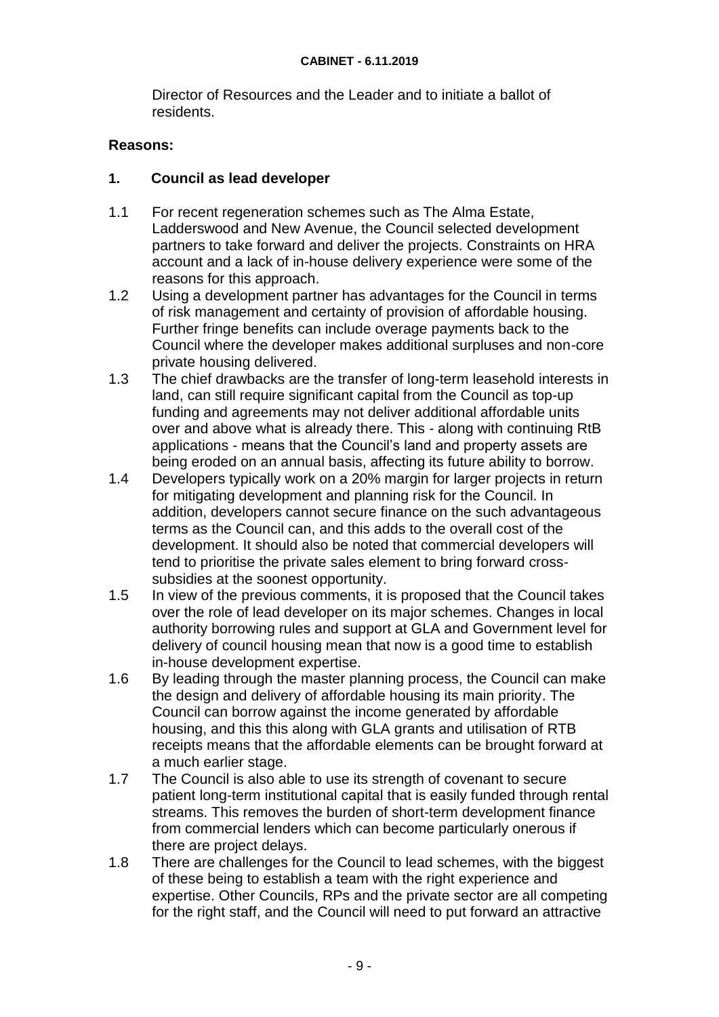Director of Resources and the Leader and to initiate a ballot of residents.

#### **Reasons:**

#### **1. Council as lead developer**

- 1.1 For recent regeneration schemes such as The Alma Estate, Ladderswood and New Avenue, the Council selected development partners to take forward and deliver the projects. Constraints on HRA account and a lack of in-house delivery experience were some of the reasons for this approach.
- 1.2 Using a development partner has advantages for the Council in terms of risk management and certainty of provision of affordable housing. Further fringe benefits can include overage payments back to the Council where the developer makes additional surpluses and non-core private housing delivered.
- 1.3 The chief drawbacks are the transfer of long-term leasehold interests in land, can still require significant capital from the Council as top-up funding and agreements may not deliver additional affordable units over and above what is already there. This - along with continuing RtB applications - means that the Council's land and property assets are being eroded on an annual basis, affecting its future ability to borrow.
- 1.4 Developers typically work on a 20% margin for larger projects in return for mitigating development and planning risk for the Council. In addition, developers cannot secure finance on the such advantageous terms as the Council can, and this adds to the overall cost of the development. It should also be noted that commercial developers will tend to prioritise the private sales element to bring forward crosssubsidies at the soonest opportunity.
- 1.5 In view of the previous comments, it is proposed that the Council takes over the role of lead developer on its major schemes. Changes in local authority borrowing rules and support at GLA and Government level for delivery of council housing mean that now is a good time to establish in-house development expertise.
- 1.6 By leading through the master planning process, the Council can make the design and delivery of affordable housing its main priority. The Council can borrow against the income generated by affordable housing, and this this along with GLA grants and utilisation of RTB receipts means that the affordable elements can be brought forward at a much earlier stage.
- 1.7 The Council is also able to use its strength of covenant to secure patient long-term institutional capital that is easily funded through rental streams. This removes the burden of short-term development finance from commercial lenders which can become particularly onerous if there are project delays.
- 1.8 There are challenges for the Council to lead schemes, with the biggest of these being to establish a team with the right experience and expertise. Other Councils, RPs and the private sector are all competing for the right staff, and the Council will need to put forward an attractive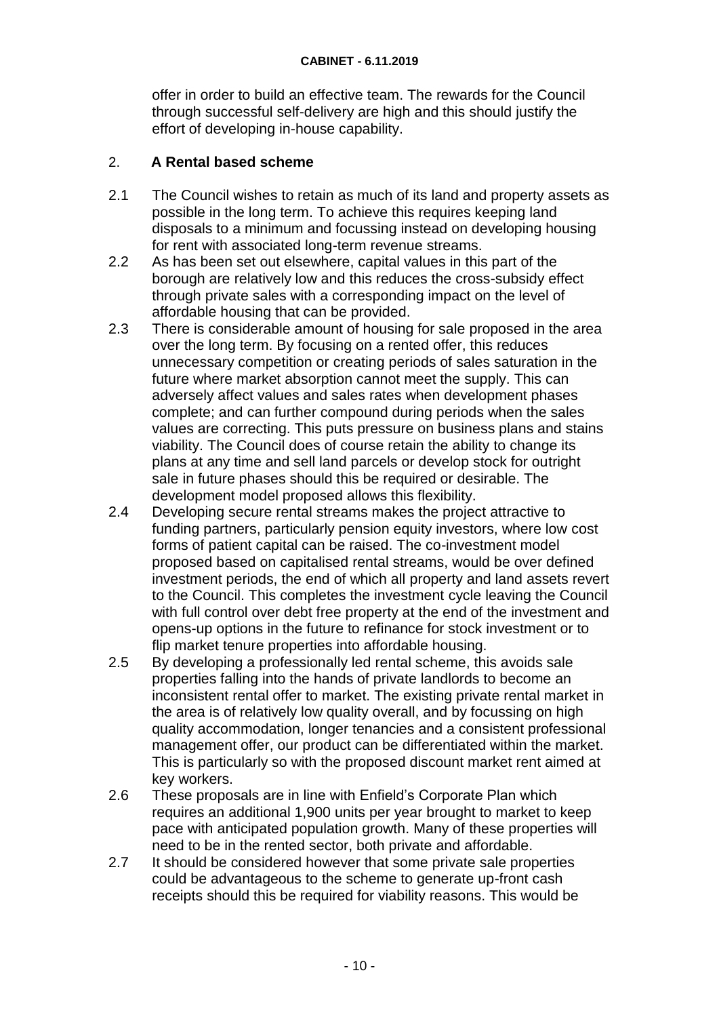offer in order to build an effective team. The rewards for the Council through successful self-delivery are high and this should justify the effort of developing in-house capability.

#### 2. **A Rental based scheme**

- 2.1 The Council wishes to retain as much of its land and property assets as possible in the long term. To achieve this requires keeping land disposals to a minimum and focussing instead on developing housing for rent with associated long-term revenue streams.
- 2.2 As has been set out elsewhere, capital values in this part of the borough are relatively low and this reduces the cross-subsidy effect through private sales with a corresponding impact on the level of affordable housing that can be provided.
- 2.3 There is considerable amount of housing for sale proposed in the area over the long term. By focusing on a rented offer, this reduces unnecessary competition or creating periods of sales saturation in the future where market absorption cannot meet the supply. This can adversely affect values and sales rates when development phases complete; and can further compound during periods when the sales values are correcting. This puts pressure on business plans and stains viability. The Council does of course retain the ability to change its plans at any time and sell land parcels or develop stock for outright sale in future phases should this be required or desirable. The development model proposed allows this flexibility.
- 2.4 Developing secure rental streams makes the project attractive to funding partners, particularly pension equity investors, where low cost forms of patient capital can be raised. The co-investment model proposed based on capitalised rental streams, would be over defined investment periods, the end of which all property and land assets revert to the Council. This completes the investment cycle leaving the Council with full control over debt free property at the end of the investment and opens-up options in the future to refinance for stock investment or to flip market tenure properties into affordable housing.
- 2.5 By developing a professionally led rental scheme, this avoids sale properties falling into the hands of private landlords to become an inconsistent rental offer to market. The existing private rental market in the area is of relatively low quality overall, and by focussing on high quality accommodation, longer tenancies and a consistent professional management offer, our product can be differentiated within the market. This is particularly so with the proposed discount market rent aimed at key workers.
- 2.6 These proposals are in line with Enfield's Corporate Plan which requires an additional 1,900 units per year brought to market to keep pace with anticipated population growth. Many of these properties will need to be in the rented sector, both private and affordable.
- 2.7 It should be considered however that some private sale properties could be advantageous to the scheme to generate up-front cash receipts should this be required for viability reasons. This would be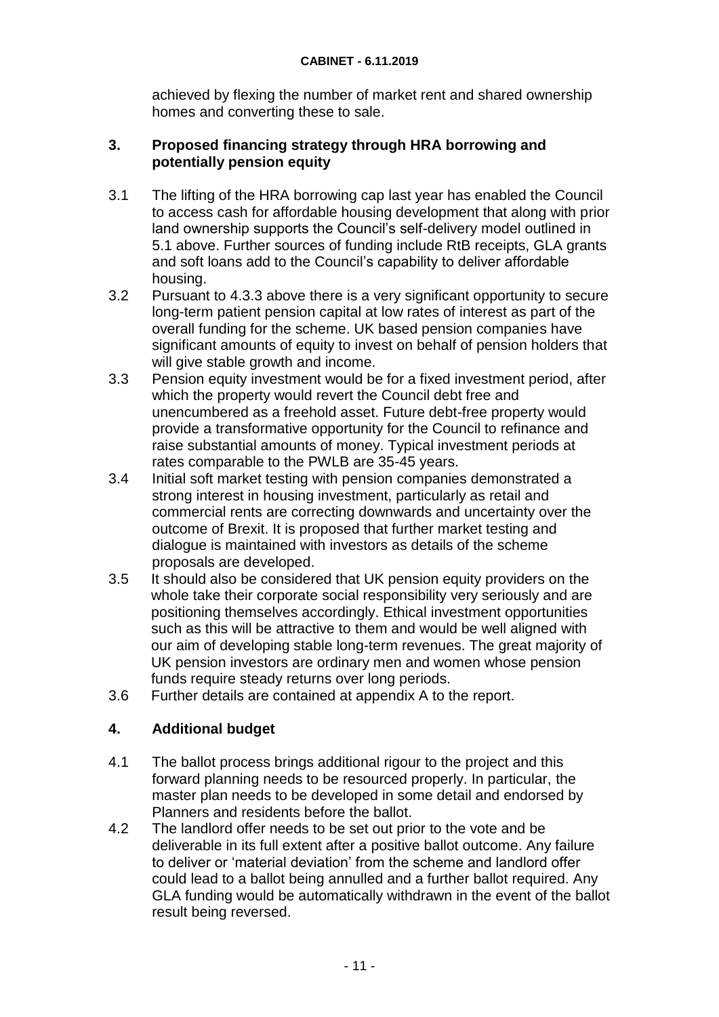achieved by flexing the number of market rent and shared ownership homes and converting these to sale.

#### **3. Proposed financing strategy through HRA borrowing and potentially pension equity**

- 3.1 The lifting of the HRA borrowing cap last year has enabled the Council to access cash for affordable housing development that along with prior land ownership supports the Council's self-delivery model outlined in 5.1 above. Further sources of funding include RtB receipts, GLA grants and soft loans add to the Council's capability to deliver affordable housing.
- 3.2 Pursuant to 4.3.3 above there is a very significant opportunity to secure long-term patient pension capital at low rates of interest as part of the overall funding for the scheme. UK based pension companies have significant amounts of equity to invest on behalf of pension holders that will give stable growth and income.
- 3.3 Pension equity investment would be for a fixed investment period, after which the property would revert the Council debt free and unencumbered as a freehold asset. Future debt-free property would provide a transformative opportunity for the Council to refinance and raise substantial amounts of money. Typical investment periods at rates comparable to the PWLB are 35-45 years.
- 3.4 Initial soft market testing with pension companies demonstrated a strong interest in housing investment, particularly as retail and commercial rents are correcting downwards and uncertainty over the outcome of Brexit. It is proposed that further market testing and dialogue is maintained with investors as details of the scheme proposals are developed.
- 3.5 It should also be considered that UK pension equity providers on the whole take their corporate social responsibility very seriously and are positioning themselves accordingly. Ethical investment opportunities such as this will be attractive to them and would be well aligned with our aim of developing stable long-term revenues. The great majority of UK pension investors are ordinary men and women whose pension funds require steady returns over long periods.
- 3.6 Further details are contained at appendix A to the report.

## **4. Additional budget**

- 4.1 The ballot process brings additional rigour to the project and this forward planning needs to be resourced properly. In particular, the master plan needs to be developed in some detail and endorsed by Planners and residents before the ballot.
- 4.2 The landlord offer needs to be set out prior to the vote and be deliverable in its full extent after a positive ballot outcome. Any failure to deliver or 'material deviation' from the scheme and landlord offer could lead to a ballot being annulled and a further ballot required. Any GLA funding would be automatically withdrawn in the event of the ballot result being reversed.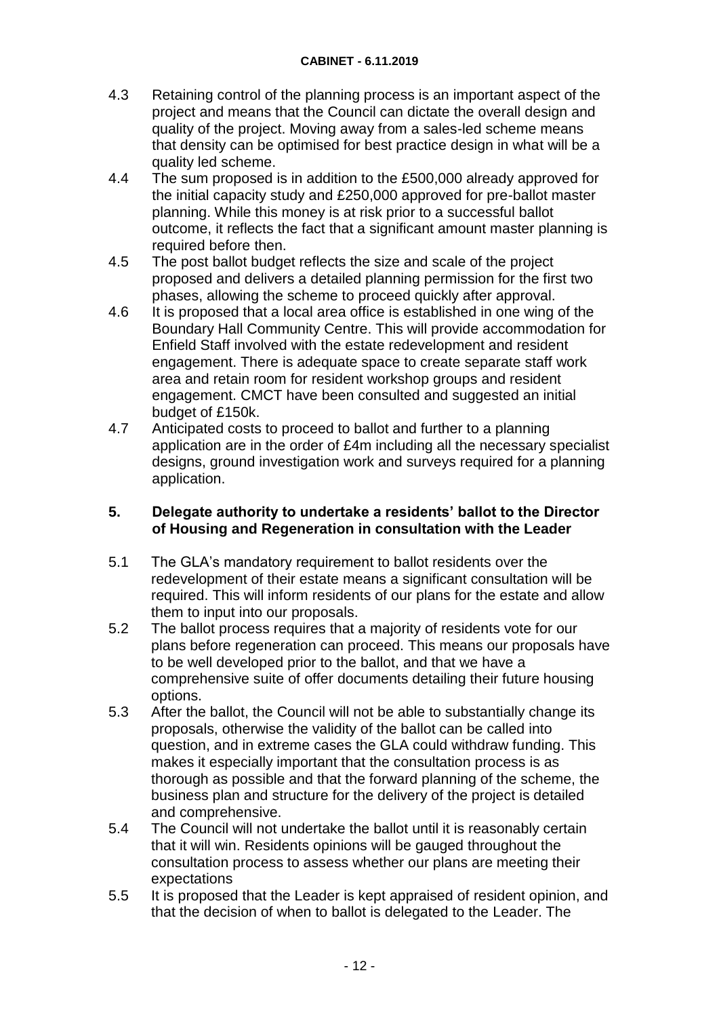- 4.3 Retaining control of the planning process is an important aspect of the project and means that the Council can dictate the overall design and quality of the project. Moving away from a sales-led scheme means that density can be optimised for best practice design in what will be a quality led scheme.
- 4.4 The sum proposed is in addition to the £500,000 already approved for the initial capacity study and £250,000 approved for pre-ballot master planning. While this money is at risk prior to a successful ballot outcome, it reflects the fact that a significant amount master planning is required before then.
- 4.5 The post ballot budget reflects the size and scale of the project proposed and delivers a detailed planning permission for the first two phases, allowing the scheme to proceed quickly after approval.
- 4.6 It is proposed that a local area office is established in one wing of the Boundary Hall Community Centre. This will provide accommodation for Enfield Staff involved with the estate redevelopment and resident engagement. There is adequate space to create separate staff work area and retain room for resident workshop groups and resident engagement. CMCT have been consulted and suggested an initial budget of £150k.
- 4.7 Anticipated costs to proceed to ballot and further to a planning application are in the order of £4m including all the necessary specialist designs, ground investigation work and surveys required for a planning application.

#### **5. Delegate authority to undertake a residents' ballot to the Director of Housing and Regeneration in consultation with the Leader**

- 5.1 The GLA's mandatory requirement to ballot residents over the redevelopment of their estate means a significant consultation will be required. This will inform residents of our plans for the estate and allow them to input into our proposals.
- 5.2 The ballot process requires that a majority of residents vote for our plans before regeneration can proceed. This means our proposals have to be well developed prior to the ballot, and that we have a comprehensive suite of offer documents detailing their future housing options.
- 5.3 After the ballot, the Council will not be able to substantially change its proposals, otherwise the validity of the ballot can be called into question, and in extreme cases the GLA could withdraw funding. This makes it especially important that the consultation process is as thorough as possible and that the forward planning of the scheme, the business plan and structure for the delivery of the project is detailed and comprehensive.
- 5.4 The Council will not undertake the ballot until it is reasonably certain that it will win. Residents opinions will be gauged throughout the consultation process to assess whether our plans are meeting their expectations
- 5.5 It is proposed that the Leader is kept appraised of resident opinion, and that the decision of when to ballot is delegated to the Leader. The